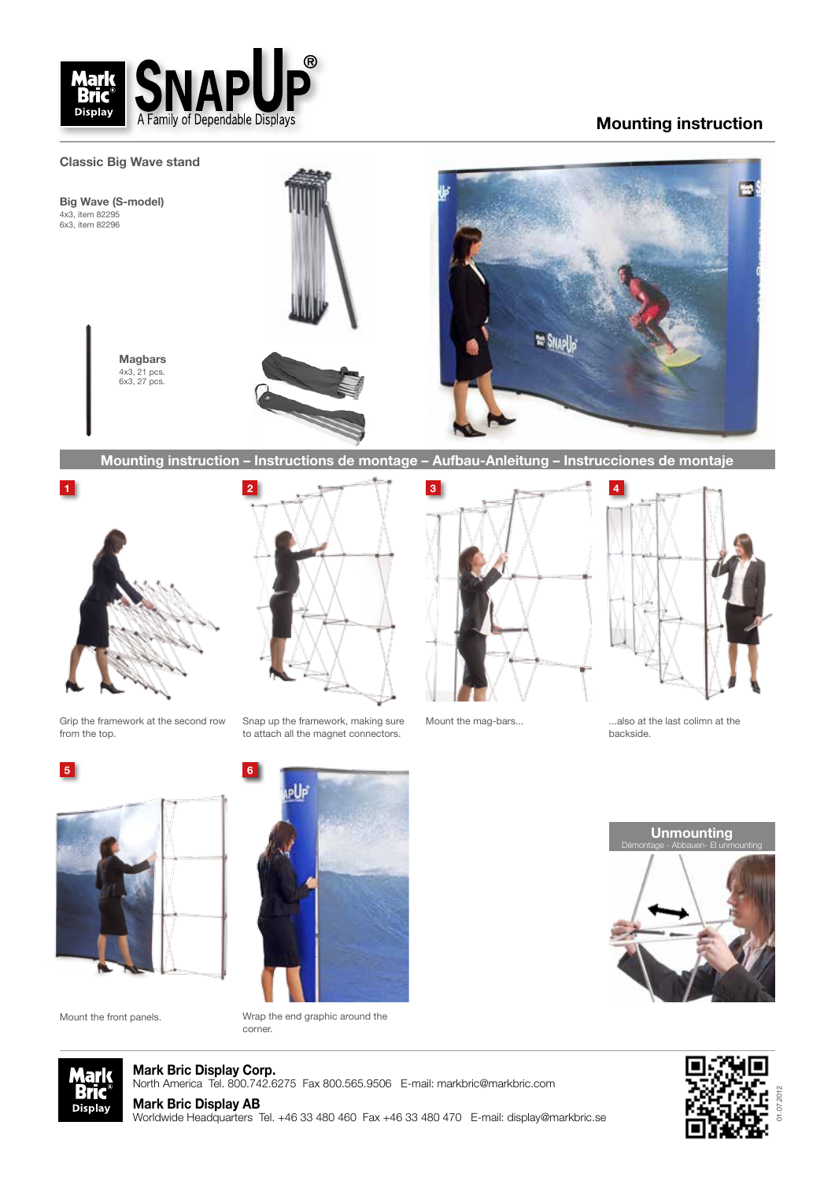

## **Mounting instruction**



**Mounting instruction – Instructions de montage – Aufbau-Anleitung – Instrucciones de montaje**



Grip the framework at the second row from the top.



Snap up the framework, making sure to attach all the magnet connectors.





Mount the mag-bars...

...also at the last colimn at the backside.



Mount the front panels.



Wrap the end graphic around the corner.

**Unmounting**  Démontage - Abbauen- El unmounting



**Mark Bric Display Corp.** North America Tel. 800.742.6275 Fax 800.565.9506 E-mail: markbric@markbric.com

**Mark Bric Display AB**

Worldwide Headquarters Tel. +46 33 480 460 Fax +46 33 480 470 E-mail: display@markbric.se